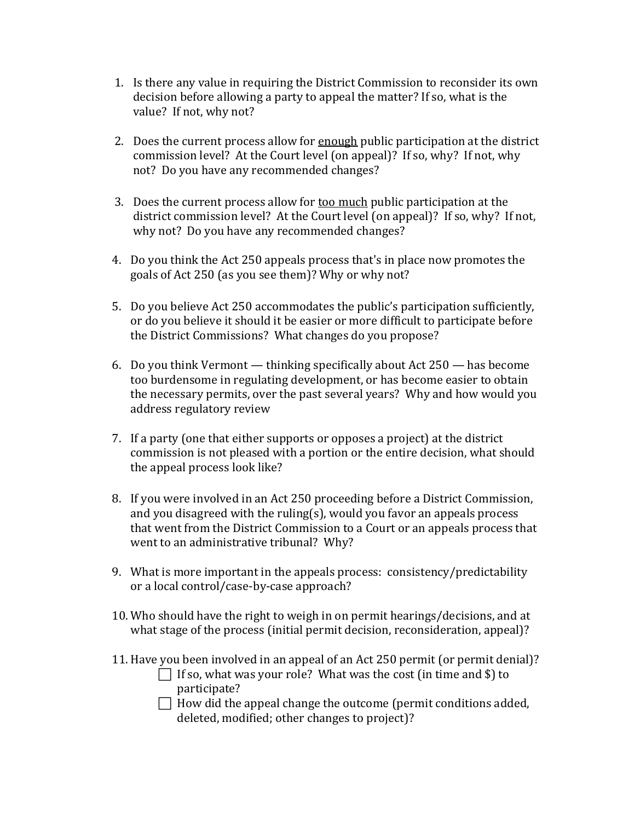- 1. Is there any value in requiring the District Commission to reconsider its own decision before allowing a party to appeal the matter? If so, what is the value? If not, why not?
- 2. Does the current process allow for enough public participation at the district commission level? At the Court level (on appeal)? If so, why? If not, why not? Do you have any recommended changes?
- 3. Does the current process allow for too much public participation at the district commission level? At the Court level (on appeal)? If so, why? If not, why not? Do you have any recommended changes?
- 4. Do you think the Act 250 appeals process that's in place now promotes the goals of Act 250 (as you see them)? Why or why not?
- 5. Do you believe Act 250 accommodates the public's participation sufficiently, or do you believe it should it be easier or more difficult to participate before the District Commissions? What changes do you propose?
- 6. Do you think Vermont thinking specifically about Act 250 has become too burdensome in regulating development, or has become easier to obtain the necessary permits, over the past several years? Why and how would you address regulatory review
- 7. If a party (one that either supports or opposes a project) at the district commission is not pleased with a portion or the entire decision, what should the appeal process look like?
- 8. If you were involved in an Act 250 proceeding before a District Commission, and you disagreed with the ruling(s), would you favor an appeals process that went from the District Commission to a Court or an appeals process that went to an administrative tribunal? Why?
- 9. What is more important in the appeals process: consistency/predictability or a local control/case-by-case approach?
- 10. Who should have the right to weigh in on permit hearings/decisions, and at what stage of the process (initial permit decision, reconsideration, appeal)?
- 11. Have you been involved in an appeal of an Act 250 permit (or permit denial)?
	- $\Box$  If so, what was your role? What was the cost (in time and \$) to participate?
	- $\Box$  How did the appeal change the outcome (permit conditions added, deleted, modified; other changes to project)?